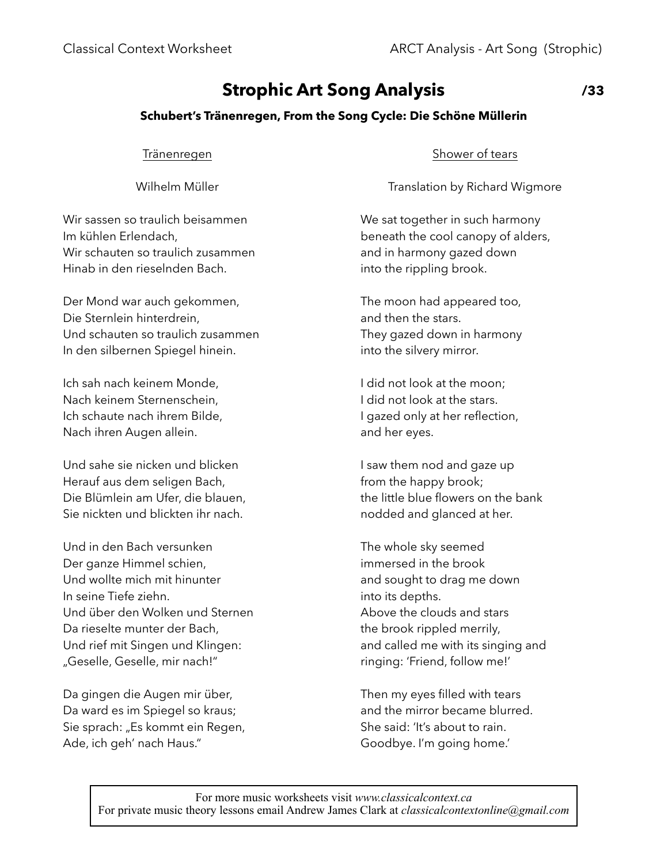# **Strophic Art Song Analysis**

### **Schubert's Tränenregen, From the Song Cycle: Die Schöne Müllerin**

#### Tränenregen

Wilhelm Müller

Wir sassen so traulich beisammen Im kühlen Erlendach, Wir schauten so traulich zusammen Hinab in den rieselnden Bach.

Der Mond war auch gekommen, Die Sternlein hinterdrein, Und schauten so traulich zusammen In den silbernen Spiegel hinein.

Ich sah nach keinem Monde, Nach keinem Sternenschein, Ich schaute nach ihrem Bilde, Nach ihren Augen allein.

Und sahe sie nicken und blicken Herauf aus dem seligen Bach, Die Blümlein am Ufer, die blauen, Sie nickten und blickten ihr nach.

Und in den Bach versunken Der ganze Himmel schien, Und wollte mich mit hinunter In seine Tiefe ziehn. Und über den Wolken und Sternen Da rieselte munter der Bach, Und rief mit Singen und Klingen: "Geselle, Geselle, mir nach!"

Da gingen die Augen mir über, Da ward es im Spiegel so kraus; Sie sprach: "Es kommt ein Regen, Ade, ich geh' nach Haus."

#### Shower of tears

Translation by [Richard Wigmore](https://www.oxfordlieder.co.uk/poet/239)

We sat together in such harmony beneath the cool canopy of alders, and in harmony gazed down into the rippling brook.

The moon had appeared too, and then the stars. They gazed down in harmony into the silvery mirror.

I did not look at the moon; I did not look at the stars. I gazed only at her reflection, and her eyes.

I saw them nod and gaze up from the happy brook; the little blue flowers on the bank nodded and glanced at her.

The whole sky seemed immersed in the brook and sought to drag me down into its depths. Above the clouds and stars the brook rippled merrily, and called me with its singing and ringing: 'Friend, follow me!'

Then my eyes filled with tears and the mirror became blurred. She said: 'It's about to rain. Goodbye. I'm going home.'

#### **/33**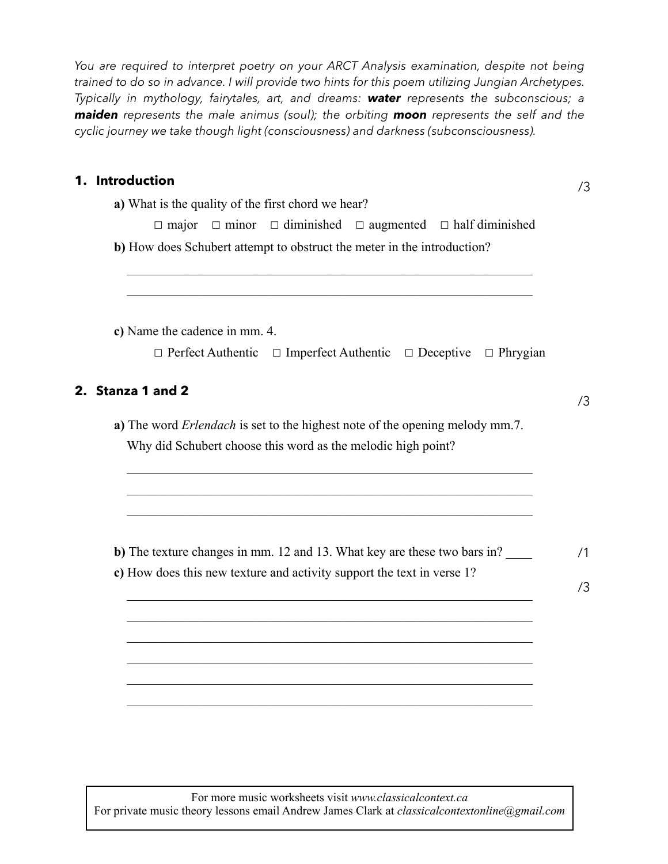*You are required to interpret poetry on your ARCT Analysis examination, despite not being trained to do so in advance. I will provide two hints for this poem utilizing Jungian Archetypes. Typically in mythology, fairytales, art, and dreams: water represents the subconscious; a maiden represents the male animus (soul); the orbiting moon represents the self and the cyclic journey we take though light (consciousness) and darkness (subconsciousness).*

## **1. Introduction**

/3

/3

/3

/1

| $\Box$ minor $\Box$ diminished $\Box$ augmented $\Box$ half diminished<br>$\Box$ major     |
|--------------------------------------------------------------------------------------------|
| b) How does Schubert attempt to obstruct the meter in the introduction?                    |
|                                                                                            |
| c) Name the cadence in mm. 4.                                                              |
| $\Box$ Perfect Authentic<br>$\Box$ Imperfect Authentic $\Box$ Deceptive<br>$\Box$ Phrygian |
| 2. Stanza 1 and 2                                                                          |
| a) The word <i>Erlendach</i> is set to the highest note of the opening melody mm.7.        |
| Why did Schubert choose this word as the melodic high point?                               |
|                                                                                            |
|                                                                                            |
|                                                                                            |
| b) The texture changes in mm. 12 and 13. What key are these two bars in?                   |
| c) How does this new texture and activity support the text in verse 1?                     |
|                                                                                            |
|                                                                                            |
|                                                                                            |
|                                                                                            |
|                                                                                            |
|                                                                                            |

For more music worksheets visit *www.classicalcontext.ca* For private music theory lessons email Andrew James Clark at *classicalcontextonline@gmail.com*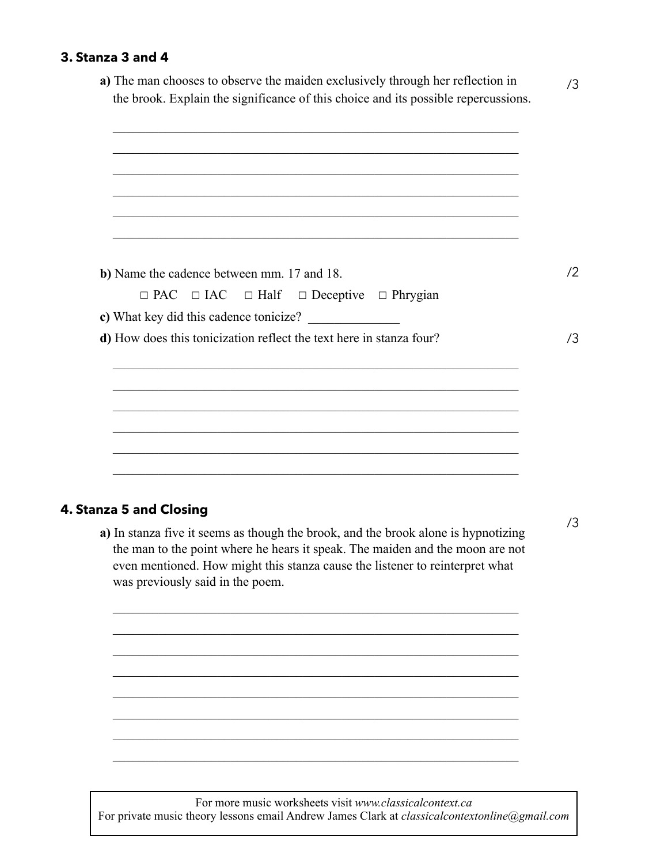# **3. Stanza 3 and 4**

| b) Name the cadence between mm. 17 and 18. |                                                                                                                       |  |
|--------------------------------------------|-----------------------------------------------------------------------------------------------------------------------|--|
|                                            | $\Box$ PAC $\Box$ IAC $\Box$ Half $\Box$ Deceptive $\Box$ Phrygian                                                    |  |
|                                            | c) What key did this cadence tonicize?                                                                                |  |
|                                            | d) How does this tonicization reflect the text here in stanza four?                                                   |  |
|                                            | <u> 1989 - Johann Harry Harry Harry Harry Harry Harry Harry Harry Harry Harry Harry Harry Harry Harry Harry Harry</u> |  |
|                                            | <u> 1989 - Johann John Stone, Amerikaansk politiker (d. 1989)</u>                                                     |  |
|                                            |                                                                                                                       |  |
|                                            |                                                                                                                       |  |
|                                            | <u> 1989 - Johann John Harry Harry Harry Harry Harry Harry Harry Harry Harry Harry Harry Harry Harry Harry Harry</u>  |  |

 the man to the point where he hears it speak. The maiden and the moon are not even mentioned. How might this stanza cause the listener to reinterpret what was previously said in the poem.

 $\mathcal{L}_\text{max}$  and the contract of the contract of the contract of the contract of the contract of the contract of

 $\mathcal{L}_\text{max}$  , and the contribution of the contribution of the contribution of the contribution of the contribution of the contribution of the contribution of the contribution of the contribution of the contribution of t

 $\mathcal{L}_\text{max}$  and the contract of the contract of the contract of the contract of the contract of the contract of

 $\mathcal{L}_\text{max}$  and the contract of the contract of the contract of the contract of the contract of the contract of

 $\mathcal{L}_\text{max} = \frac{1}{2} \sum_{i=1}^n \mathcal{L}_\text{max}(\mathbf{z}_i - \mathbf{z}_i)$  $\mathcal{L}_\text{max} = \frac{1}{2} \sum_{i=1}^n \mathcal{L}_\text{max}(\mathbf{z}_i - \mathbf{z}_i)$ 

 $\mathcal{L}_\text{max} = \frac{1}{2} \sum_{i=1}^n \mathcal{L}_\text{max}(\mathbf{z}_i - \mathbf{z}_i)$ 

 $\mathcal{L}_\text{max} = \frac{1}{2} \sum_{i=1}^n \mathcal{L}_\text{max}(\mathbf{z}_i - \mathbf{z}_i)$ 

For more music worksheets visit *www.classicalcontext.ca* For private music theory lessons email Andrew James Clark at *classicalcontextonline@gmail.com*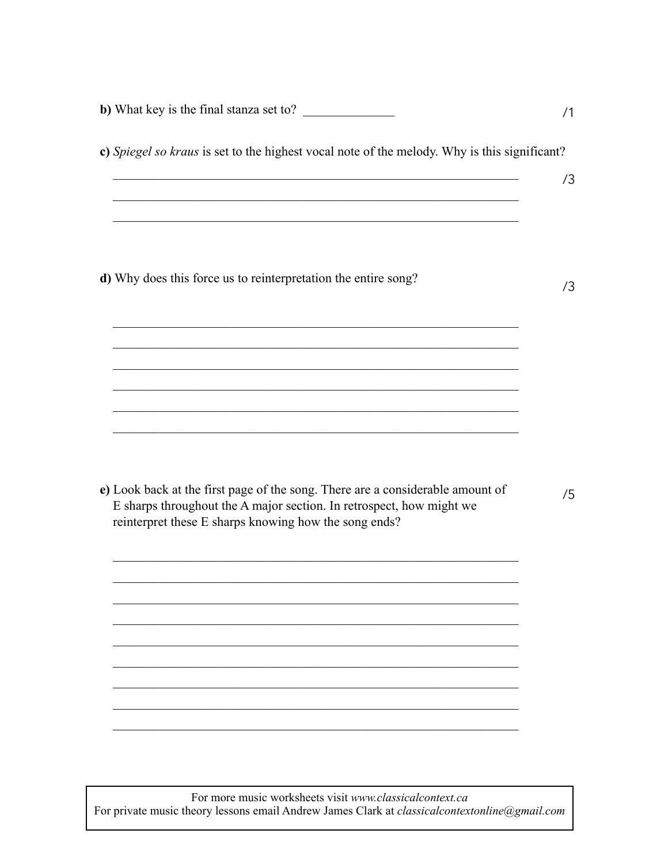|  |  | b) What key is the final stanza set to? |  |  |  |
|--|--|-----------------------------------------|--|--|--|
|--|--|-----------------------------------------|--|--|--|

c) Spiegel so kraus is set to the highest vocal note of the melody. Why is this significant?

 $/3$ 

 $/3$ 

d) Why does this force us to reinterpretation the entire song?

e) Look back at the first page of the song. There are a considerable amount of E sharps throughout the A major section. In retrospect, how might we reinterpret these E sharps knowing how the song ends?

 $/5$ 

For more music worksheets visit www.classicalcontext.ca For private music theory lessons email Andrew James Clark at *classicalcontextonline@gmail.com*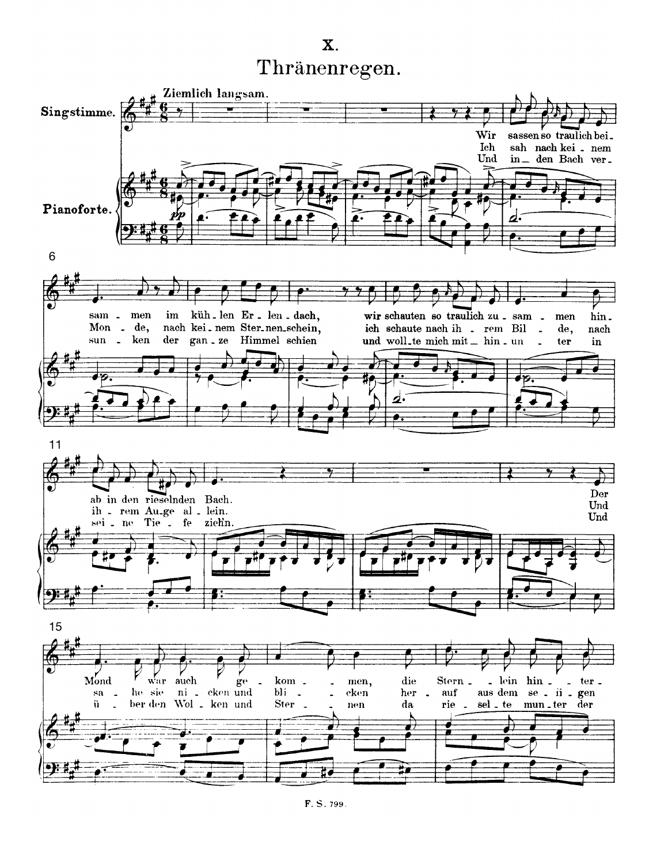$\mathbf{X}$ . Thränenregen.